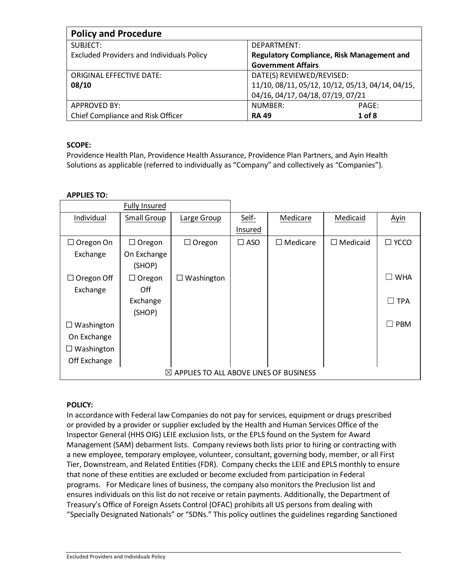| <b>Policy and Procedure</b>                      |                                                   |  |  |
|--------------------------------------------------|---------------------------------------------------|--|--|
| SUBJECT:                                         | DEPARTMENT:                                       |  |  |
| <b>Excluded Providers and Individuals Policy</b> | <b>Regulatory Compliance, Risk Management and</b> |  |  |
|                                                  | <b>Government Affairs</b>                         |  |  |
| <b>ORIGINAL EFFECTIVE DATE:</b>                  | DATE(S) REVIEWED/REVISED:                         |  |  |
| 08/10                                            | 11/10, 08/11, 05/12, 10/12, 05/13, 04/14, 04/15,  |  |  |
|                                                  | 04/16, 04/17, 04/18, 07/19, 07/21                 |  |  |
| <b>APPROVED BY:</b>                              | NUMBER:<br>PAGE:                                  |  |  |
| Chief Compliance and Risk Officer                | 1 of 8<br><b>RA 49</b>                            |  |  |

# **SCOPE:**

Providence Health Plan, Providence Health Assurance, Providence Plan Partners, and Ayin Health Solutions as applicable (referred to individually as "Company" and collectively as "Companies").

## **APPLIES TO:**

|                   | <b>Fully Insured</b> |                                                    |               |               |                 |                              |
|-------------------|----------------------|----------------------------------------------------|---------------|---------------|-----------------|------------------------------|
| Individual        | Small Group          | Large Group                                        | Self-         | Medicare      | Medicaid        | Ayin                         |
|                   |                      |                                                    | Insured       |               |                 |                              |
| $\Box$ Oregon On  | $\Box$ Oregon        | $\Box$ Oregon                                      | $\square$ ASO | Medicare<br>П | $\Box$ Medicaid | $\square$ YCCO               |
| Exchange          | On Exchange          |                                                    |               |               |                 |                              |
|                   | (SHOP)               |                                                    |               |               |                 |                              |
| $\Box$ Oregon Off | $\Box$ Oregon        | Washington<br>⊔                                    |               |               |                 | <b>WHA</b><br>$\blacksquare$ |
| Exchange          | Off.                 |                                                    |               |               |                 |                              |
|                   | Exchange             |                                                    |               |               |                 | $\Box$ TPA                   |
|                   | (SHOP)               |                                                    |               |               |                 |                              |
| Washington        |                      |                                                    |               |               |                 | <b>PBM</b><br>n a            |
| On Exchange       |                      |                                                    |               |               |                 |                              |
| Washington        |                      |                                                    |               |               |                 |                              |
| Off Exchange      |                      |                                                    |               |               |                 |                              |
|                   |                      | $\boxtimes$ APPLIES TO ALL ABOVE LINES OF BUSINESS |               |               |                 |                              |

## **POLICY:**

In accordance with Federal law Companies do not pay for services, equipment or drugs prescribed or provided by a provider or supplier excluded by the Health and Human Services Office of the Inspector General (HHS OIG) LEIE exclusion lists, or the EPLS found on the System for Award Management (SAM) debarment lists. Company reviews both lists prior to hiring or contracting with a new employee, temporary employee, volunteer, consultant, governing body, member, or all First Tier, Downstream, and Related Entities (FDR). Company checks the LEIE and EPLS monthly to ensure that none of these entities are excluded or become excluded from participation in Federal programs. For Medicare lines of business, the company also monitors the Preclusion list and ensures individuals on this list do not receive or retain payments. Additionally, the Department of Treasury's Office of Foreign Assets Control (OFAC) prohibits all US persons from dealing with "Specially Designated Nationals" or "SDNs." This policy outlines the guidelines regarding Sanctioned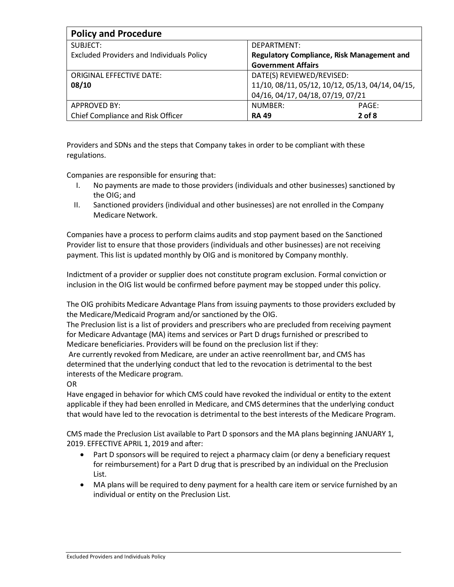| <b>Policy and Procedure</b>                      |                                                   |  |  |
|--------------------------------------------------|---------------------------------------------------|--|--|
| SUBJECT:                                         | DEPARTMENT:                                       |  |  |
| <b>Excluded Providers and Individuals Policy</b> | <b>Regulatory Compliance, Risk Management and</b> |  |  |
|                                                  | <b>Government Affairs</b>                         |  |  |
| <b>ORIGINAL EFFECTIVE DATE:</b>                  | DATE(S) REVIEWED/REVISED:                         |  |  |
| 08/10                                            | 11/10, 08/11, 05/12, 10/12, 05/13, 04/14, 04/15,  |  |  |
|                                                  | 04/16, 04/17, 04/18, 07/19, 07/21                 |  |  |
| APPROVED BY:                                     | NUMBER:<br>PAGE:                                  |  |  |
| Chief Compliance and Risk Officer                | $2$ of $8$<br><b>RA 49</b>                        |  |  |

Providers and SDNs and the steps that Company takes in order to be compliant with these regulations.

Companies are responsible for ensuring that:

- I. No payments are made to those providers (individuals and other businesses) sanctioned by the OIG; and
- II. Sanctioned providers (individual and other businesses) are not enrolled in the Company Medicare Network.

Companies have a process to perform claims audits and stop payment based on the Sanctioned Provider list to ensure that those providers (individuals and other businesses) are not receiving payment. This list is updated monthly by OIG and is monitored by Company monthly.

Indictment of a provider or supplier does not constitute program exclusion. Formal conviction or inclusion in the OIG list would be confirmed before payment may be stopped under this policy.

The OIG prohibits Medicare Advantage Plans from issuing payments to those providers excluded by the Medicare/Medicaid Program and/or sanctioned by the OIG.

The Preclusion list is a list of providers and prescribers who are precluded from receiving payment for Medicare Advantage (MA) items and services or Part D drugs furnished or prescribed to Medicare beneficiaries. Providers will be found on the preclusion list if they:

Are currently revoked from Medicare, are under an active reenrollment bar, and CMS has determined that the underlying conduct that led to the revocation is detrimental to the best interests of the Medicare program.

OR

Have engaged in behavior for which CMS could have revoked the individual or entity to the extent applicable if they had been enrolled in Medicare, and CMS determines that the underlying conduct that would have led to the revocation is detrimental to the best interests of the Medicare Program.

CMS made the Preclusion List available to Part D sponsors and the MA plans beginning JANUARY 1, 2019. EFFECTIVE APRIL 1, 2019 and after:

- Part D sponsors will be required to reject a pharmacy claim (or deny a beneficiary request for reimbursement) for a Part D drug that is prescribed by an individual on the Preclusion List.
- MA plans will be required to deny payment for a health care item or service furnished by an individual or entity on the Preclusion List.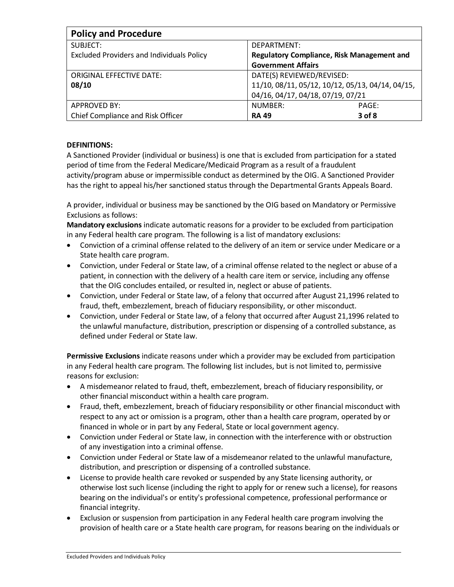| <b>Policy and Procedure</b>                      |                                                   |  |  |
|--------------------------------------------------|---------------------------------------------------|--|--|
| SUBJECT:                                         | DEPARTMENT:                                       |  |  |
| <b>Excluded Providers and Individuals Policy</b> | <b>Regulatory Compliance, Risk Management and</b> |  |  |
|                                                  | <b>Government Affairs</b>                         |  |  |
| <b>ORIGINAL EFFECTIVE DATE:</b>                  | DATE(S) REVIEWED/REVISED:                         |  |  |
| 08/10                                            | 11/10, 08/11, 05/12, 10/12, 05/13, 04/14, 04/15,  |  |  |
|                                                  | 04/16, 04/17, 04/18, 07/19, 07/21                 |  |  |
| <b>APPROVED BY:</b>                              | NUMBER:<br>PAGE:                                  |  |  |
| Chief Compliance and Risk Officer                | 3 of 8<br><b>RA 49</b>                            |  |  |

# **DEFINITIONS:**

A Sanctioned Provider (individual or business) is one that is excluded from participation for a stated period of time from the Federal Medicare/Medicaid Program as a result of a fraudulent activity/program abuse or impermissible conduct as determined by the OIG. A Sanctioned Provider has the right to appeal his/her sanctioned status through the Departmental Grants Appeals Board.

A provider, individual or business may be sanctioned by the OIG based on Mandatory or Permissive Exclusions as follows:

**Mandatory exclusions** indicate automatic reasons for a provider to be excluded from participation in any Federal health care program. The following is a list of mandatory exclusions:

- Conviction of a criminal offense related to the delivery of an item or service under Medicare or a State health care program.
- Conviction, under Federal or State law, of a criminal offense related to the neglect or abuse of a patient, in connection with the delivery of a health care item or service, including any offense that the OIG concludes entailed, or resulted in, neglect or abuse of patients.
- Conviction, under Federal or State law, of a felony that occurred after August 21,1996 related to fraud, theft, embezzlement, breach of fiduciary responsibility, or other misconduct.
- Conviction, under Federal or State law, of a felony that occurred after August 21,1996 related to the unlawful manufacture, distribution, prescription or dispensing of a controlled substance, as defined under Federal or State law.

**Permissive Exclusions** indicate reasons under which a provider may be excluded from participation in any Federal health care program. The following list includes, but is not limited to, permissive reasons for exclusion:

- A misdemeanor related to fraud, theft, embezzlement, breach of fiduciary responsibility, or other financial misconduct within a health care program.
- Fraud, theft, embezzlement, breach of fiduciary responsibility or other financial misconduct with respect to any act or omission is a program, other than a health care program, operated by or financed in whole or in part by any Federal, State or local government agency.
- Conviction under Federal or State law, in connection with the interference with or obstruction of any investigation into a criminal offense.
- Conviction under Federal or State law of a misdemeanor related to the unlawful manufacture, distribution, and prescription or dispensing of a controlled substance.
- License to provide health care revoked or suspended by any State licensing authority, or otherwise lost such license (including the right to apply for or renew such a license), for reasons bearing on the individual's or entity's professional competence, professional performance or financial integrity.
- Exclusion or suspension from participation in any Federal health care program involving the provision of health care or a State health care program, for reasons bearing on the individuals or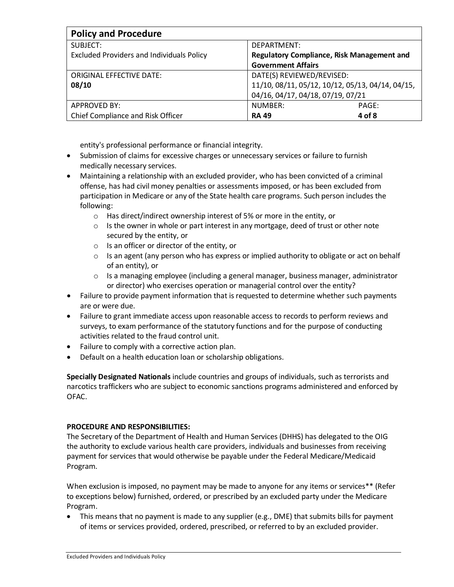| <b>Policy and Procedure</b>                      |                                                  |  |  |
|--------------------------------------------------|--------------------------------------------------|--|--|
| SUBJECT:                                         | DEPARTMENT:                                      |  |  |
| <b>Excluded Providers and Individuals Policy</b> | Regulatory Compliance, Risk Management and       |  |  |
|                                                  | <b>Government Affairs</b>                        |  |  |
| <b>ORIGINAL EFFECTIVE DATE:</b>                  | DATE(S) REVIEWED/REVISED:                        |  |  |
| 08/10                                            | 11/10, 08/11, 05/12, 10/12, 05/13, 04/14, 04/15, |  |  |
|                                                  | 04/16, 04/17, 04/18, 07/19, 07/21                |  |  |
| <b>APPROVED BY:</b>                              | NUMBER:<br>PAGE:                                 |  |  |
| Chief Compliance and Risk Officer                | 4 of 8<br><b>RA 49</b>                           |  |  |

entity's professional performance or financial integrity.

- Submission of claims for excessive charges or unnecessary services or failure to furnish medically necessary services.
- Maintaining a relationship with an excluded provider, who has been convicted of a criminal offense, has had civil money penalties or assessments imposed, or has been excluded from participation in Medicare or any of the State health care programs. Such person includes the following:
	- o Has direct/indirect ownership interest of 5% or more in the entity, or
	- $\circ$  Is the owner in whole or part interest in any mortgage, deed of trust or other note secured by the entity, or
	- o Is an officer or director of the entity, or
	- $\circ$  Is an agent (any person who has express or implied authority to obligate or act on behalf of an entity), or
	- $\circ$  Is a managing employee (including a general manager, business manager, administrator or director) who exercises operation or managerial control over the entity?
- Failure to provide payment information that is requested to determine whether such payments are or were due.
- Failure to grant immediate access upon reasonable access to records to perform reviews and surveys, to exam performance of the statutory functions and for the purpose of conducting activities related to the fraud control unit.
- Failure to comply with a corrective action plan.
- Default on a health education loan or scholarship obligations.

**Specially Designated Nationals** include countries and groups of individuals, such as terrorists and narcotics traffickers who are subject to economic sanctions programs administered and enforced by OFAC.

## **PROCEDURE AND RESPONSIBILITIES:**

The Secretary of the Department of Health and Human Services (DHHS) has delegated to the OIG the authority to exclude various health care providers, individuals and businesses from receiving payment for services that would otherwise be payable under the Federal Medicare/Medicaid Program.

When exclusion is imposed, no payment may be made to anyone for any items or services\*\* (Refer to exceptions below) furnished, ordered, or prescribed by an excluded party under the Medicare Program.

• This means that no payment is made to any supplier (e.g., DME) that submits bills for payment of items or services provided, ordered, prescribed, or referred to by an excluded provider.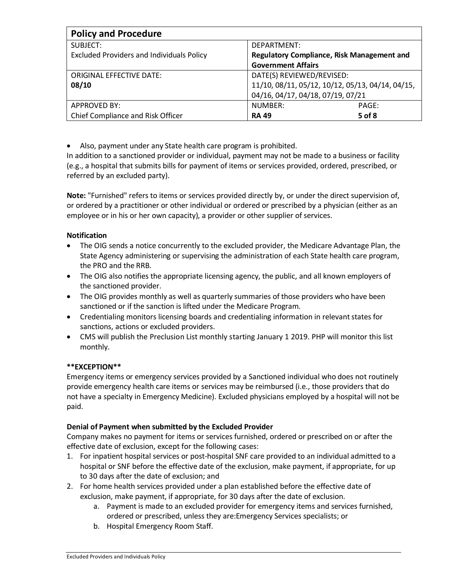| <b>Policy and Procedure</b>                      |                                                   |  |  |
|--------------------------------------------------|---------------------------------------------------|--|--|
| SUBJECT:                                         | DEPARTMENT:                                       |  |  |
| <b>Excluded Providers and Individuals Policy</b> | <b>Regulatory Compliance, Risk Management and</b> |  |  |
|                                                  | <b>Government Affairs</b>                         |  |  |
| <b>ORIGINAL EFFECTIVE DATE:</b>                  | DATE(S) REVIEWED/REVISED:                         |  |  |
| 08/10                                            | 11/10, 08/11, 05/12, 10/12, 05/13, 04/14, 04/15,  |  |  |
|                                                  | 04/16, 04/17, 04/18, 07/19, 07/21                 |  |  |
| APPROVED BY:                                     | NUMBER:<br>PAGE:                                  |  |  |
| Chief Compliance and Risk Officer                | 5 of 8<br><b>RA 49</b>                            |  |  |

• Also, payment under any State health care program is prohibited.

In addition to a sanctioned provider or individual, payment may not be made to a business or facility (e.g., a hospital that submits bills for payment of items or services provided, ordered, prescribed, or referred by an excluded party).

**Note:** "Furnished" refers to items or services provided directly by, or under the direct supervision of, or ordered by a practitioner or other individual or ordered or prescribed by a physician (either as an employee or in his or her own capacity), a provider or other supplier of services.

## **Notification**

- The OIG sends a notice concurrently to the excluded provider, the Medicare Advantage Plan, the State Agency administering or supervising the administration of each State health care program, the PRO and the RRB.
- The OIG also notifies the appropriate licensing agency, the public, and all known employers of the sanctioned provider.
- The OIG provides monthly as well as quarterly summaries of those providers who have been sanctioned or if the sanction is lifted under the Medicare Program.
- Credentialing monitors licensing boards and credentialing information in relevant states for sanctions, actions or excluded providers.
- CMS will publish the Preclusion List monthly starting January 1 2019. PHP will monitor this list monthly.

## **\*\*EXCEPTION\*\***

Emergency items or emergency services provided by a Sanctioned individual who does not routinely provide emergency health care items or services may be reimbursed (i.e., those providers that do not have a specialty in Emergency Medicine). Excluded physicians employed by a hospital will not be paid.

#### **Denial of Payment when submitted by the Excluded Provider**

Company makes no payment for items or services furnished, ordered or prescribed on or after the effective date of exclusion, except for the following cases:

- 1. For inpatient hospital services or post-hospital SNF care provided to an individual admitted to a hospital or SNF before the effective date of the exclusion, make payment, if appropriate, for up to 30 days after the date of exclusion; and
- 2. For home health services provided under a plan established before the effective date of exclusion, make payment, if appropriate, for 30 days after the date of exclusion.
	- a. Payment is made to an excluded provider for emergency items and services furnished, ordered or prescribed, unless they are:Emergency Services specialists; or
	- b. Hospital Emergency Room Staff.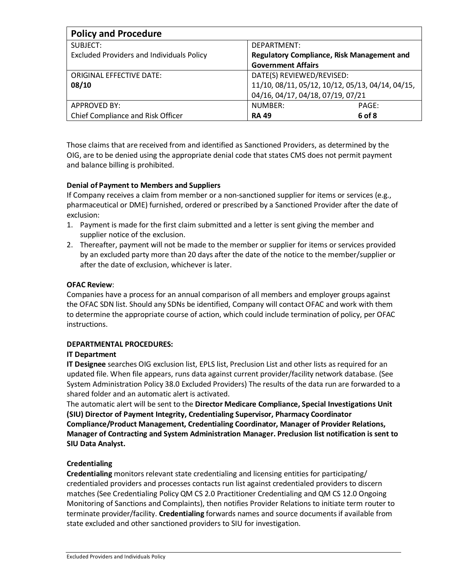| <b>Policy and Procedure</b>                      |                                                   |  |  |
|--------------------------------------------------|---------------------------------------------------|--|--|
| SUBJECT:                                         | DEPARTMENT:                                       |  |  |
| <b>Excluded Providers and Individuals Policy</b> | <b>Regulatory Compliance, Risk Management and</b> |  |  |
|                                                  | <b>Government Affairs</b>                         |  |  |
| <b>ORIGINAL EFFECTIVE DATE:</b>                  | DATE(S) REVIEWED/REVISED:                         |  |  |
| 08/10                                            | 11/10, 08/11, 05/12, 10/12, 05/13, 04/14, 04/15,  |  |  |
|                                                  | 04/16, 04/17, 04/18, 07/19, 07/21                 |  |  |
| APPROVED BY:                                     | NUMBER:<br>PAGE:                                  |  |  |
| Chief Compliance and Risk Officer                | 6 of 8<br><b>RA 49</b>                            |  |  |

Those claims that are received from and identified as Sanctioned Providers, as determined by the OIG, are to be denied using the appropriate denial code that states CMS does not permit payment and balance billing is prohibited.

## **Denial of Payment to Members and Suppliers**

If Company receives a claim from member or a non-sanctioned supplier for items or services (e.g., pharmaceutical or DME) furnished, ordered or prescribed by a Sanctioned Provider after the date of exclusion:

- 1. Payment is made for the first claim submitted and a letter is sent giving the member and supplier notice of the exclusion.
- 2. Thereafter, payment will not be made to the member or supplier for items or services provided by an excluded party more than 20 days after the date of the notice to the member/supplier or after the date of exclusion, whichever is later.

#### **OFAC Review**:

Companies have a process for an annual comparison of all members and employer groups against the OFAC SDN list. Should any SDNs be identified, Company will contact OFAC and work with them to determine the appropriate course of action, which could include termination of policy, per OFAC instructions.

## **DEPARTMENTAL PROCEDURES:**

## **IT Department**

**IT Designee** searches OIG exclusion list, EPLS list, Preclusion List and other lists as required for an updated file. When file appears, runs data against current provider/facility network database. (See System Administration Policy 38.0 Excluded Providers) The results of the data run are forwarded to a shared folder and an automatic alert is activated.

The automatic alert will be sent to the **Director Medicare Compliance, Special Investigations Unit (SIU) Director of Payment Integrity, Credentialing Supervisor, Pharmacy Coordinator Compliance/Product Management, Credentialing Coordinator, Manager of Provider Relations, Manager of Contracting and System Administration Manager. Preclusion list notification is sent to SIU Data Analyst.**

## **Credentialing**

**Credentialing** monitors relevant state credentialing and licensing entities for participating/ credentialed providers and processes contacts run list against credentialed providers to discern matches (See Credentialing Policy QM CS 2.0 Practitioner Credentialing and QM CS 12.0 Ongoing Monitoring of Sanctions and Complaints), then notifies Provider Relations to initiate term router to terminate provider/facility. **Credentialing** forwards names and source documents if available from state excluded and other sanctioned providers to SIU for investigation.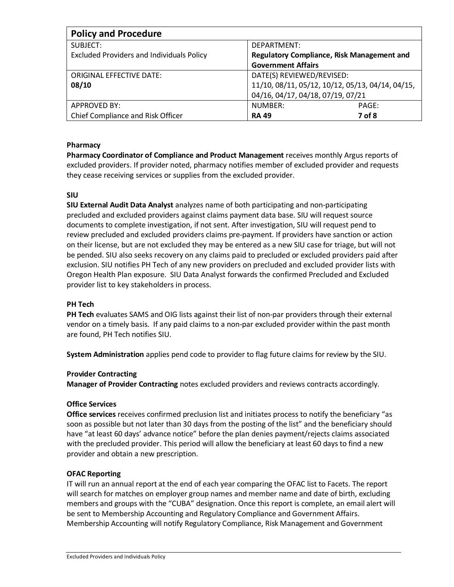| <b>Policy and Procedure</b>                      |                                                  |  |  |
|--------------------------------------------------|--------------------------------------------------|--|--|
| SUBJECT:                                         | DEPARTMENT:                                      |  |  |
| <b>Excluded Providers and Individuals Policy</b> | Regulatory Compliance, Risk Management and       |  |  |
|                                                  | <b>Government Affairs</b>                        |  |  |
| <b>ORIGINAL EFFECTIVE DATE:</b>                  | DATE(S) REVIEWED/REVISED:                        |  |  |
| 08/10                                            | 11/10, 08/11, 05/12, 10/12, 05/13, 04/14, 04/15, |  |  |
|                                                  | 04/16, 04/17, 04/18, 07/19, 07/21                |  |  |
| APPROVED BY:                                     | NUMBER:<br>PAGE:                                 |  |  |
| Chief Compliance and Risk Officer                | 7 of 8<br><b>RA 49</b>                           |  |  |

## **Pharmacy**

**Pharmacy Coordinator of Compliance and Product Management** receives monthly Argus reports of excluded providers. If provider noted, pharmacy notifies member of excluded provider and requests they cease receiving services or supplies from the excluded provider.

#### **SIU**

**SIU External Audit Data Analyst** analyzes name of both participating and non-participating precluded and excluded providers against claims payment data base. SIU will request source documents to complete investigation, if not sent. After investigation, SIU will request pend to review precluded and excluded providers claims pre-payment. If providers have sanction or action on their license, but are not excluded they may be entered as a new SIU case for triage, but will not be pended. SIU also seeks recovery on any claims paid to precluded or excluded providers paid after exclusion. SIU notifies PH Tech of any new providers on precluded and excluded provider lists with Oregon Health Plan exposure. SIU Data Analyst forwards the confirmed Precluded and Excluded provider list to key stakeholders in process.

#### **PH Tech**

**PH Tech** evaluates SAMS and OIG lists against their list of non-par providers through their external vendor on a timely basis. If any paid claims to a non-par excluded provider within the past month are found, PH Tech notifies SIU.

**System Administration** applies pend code to provider to flag future claims for review by the SIU.

#### **Provider Contracting**

**Manager of Provider Contracting** notes excluded providers and reviews contracts accordingly.

## **Office Services**

**Office services** receives confirmed preclusion list and initiates process to notify the beneficiary "as soon as possible but not later than 30 days from the posting of the list" and the beneficiary should have "at least 60 days' advance notice" before the plan denies payment/rejects claims associated with the precluded provider. This period will allow the beneficiary at least 60 days to find a new provider and obtain a new prescription.

## **OFAC Reporting**

IT will run an annual report at the end of each year comparing the OFAC list to Facets. The report will search for matches on employer group names and member name and date of birth, excluding members and groups with the "CUBA" designation. Once this report is complete, an email alert will be sent to Membership Accounting and Regulatory Compliance and Government Affairs. Membership Accounting will notify Regulatory Compliance, Risk Management and Government